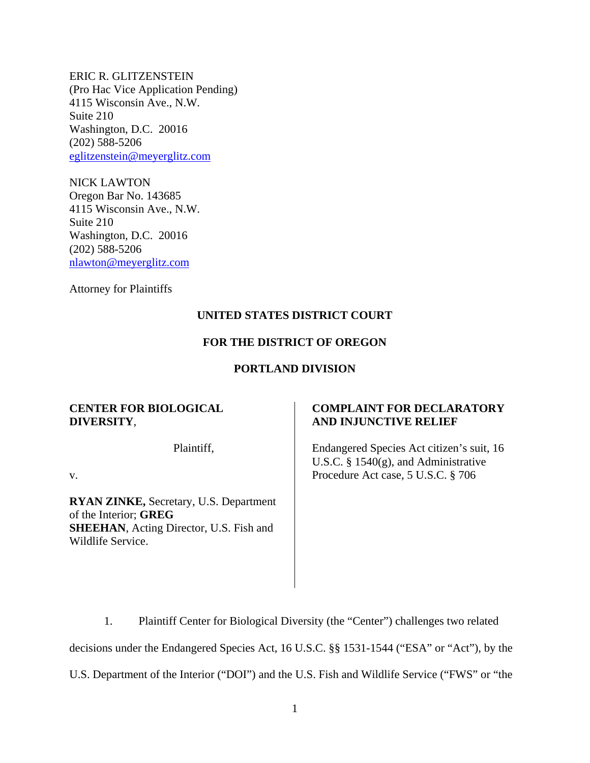ERIC R. GLITZENSTEIN (Pro Hac Vice Application Pending) 4115 Wisconsin Ave., N.W. Suite 210 Washington, D.C. 20016 (202) 588-5206 eglitzenstein@meyerglitz.com

NICK LAWTON Oregon Bar No. 143685 4115 Wisconsin Ave., N.W. Suite 210 Washington, D.C. 20016 (202) 588-5206 nlawton@meyerglitz.com

Attorney for Plaintiffs

# **UNITED STATES DISTRICT COURT**

## **FOR THE DISTRICT OF OREGON**

## **PORTLAND DIVISION**

## **CENTER FOR BIOLOGICAL DIVERSITY**,

Plaintiff,

v.

**RYAN ZINKE,** Secretary, U.S. Department of the Interior; **GREG SHEEHAN**, Acting Director, U.S. Fish and Wildlife Service.

# **COMPLAINT FOR DECLARATORY AND INJUNCTIVE RELIEF**

Endangered Species Act citizen's suit, 16 U.S.C. § 1540(g), and Administrative Procedure Act case, 5 U.S.C. § 706

1. Plaintiff Center for Biological Diversity (the "Center") challenges two related decisions under the Endangered Species Act, 16 U.S.C. §§ 1531-1544 ("ESA" or "Act"), by the U.S. Department of the Interior ("DOI") and the U.S. Fish and Wildlife Service ("FWS" or "the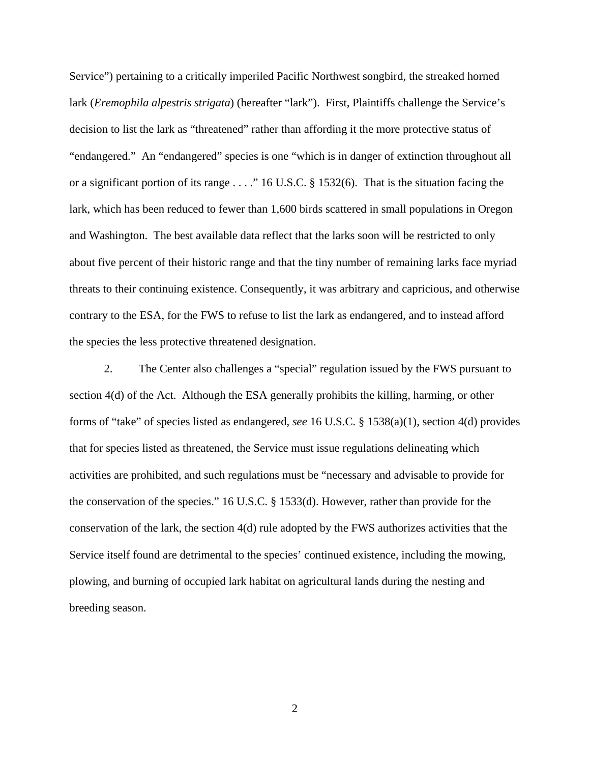Service") pertaining to a critically imperiled Pacific Northwest songbird, the streaked horned lark (*Eremophila alpestris strigata*) (hereafter "lark"). First, Plaintiffs challenge the Service's decision to list the lark as "threatened" rather than affording it the more protective status of "endangered." An "endangered" species is one "which is in danger of extinction throughout all or a significant portion of its range . . . ." 16 U.S.C. § 1532(6). That is the situation facing the lark, which has been reduced to fewer than 1,600 birds scattered in small populations in Oregon and Washington. The best available data reflect that the larks soon will be restricted to only about five percent of their historic range and that the tiny number of remaining larks face myriad threats to their continuing existence. Consequently, it was arbitrary and capricious, and otherwise contrary to the ESA, for the FWS to refuse to list the lark as endangered, and to instead afford the species the less protective threatened designation.

2. The Center also challenges a "special" regulation issued by the FWS pursuant to section 4(d) of the Act. Although the ESA generally prohibits the killing, harming, or other forms of "take" of species listed as endangered, *see* 16 U.S.C. § 1538(a)(1), section 4(d) provides that for species listed as threatened, the Service must issue regulations delineating which activities are prohibited, and such regulations must be "necessary and advisable to provide for the conservation of the species." 16 U.S.C. § 1533(d). However, rather than provide for the conservation of the lark, the section 4(d) rule adopted by the FWS authorizes activities that the Service itself found are detrimental to the species' continued existence, including the mowing, plowing, and burning of occupied lark habitat on agricultural lands during the nesting and breeding season.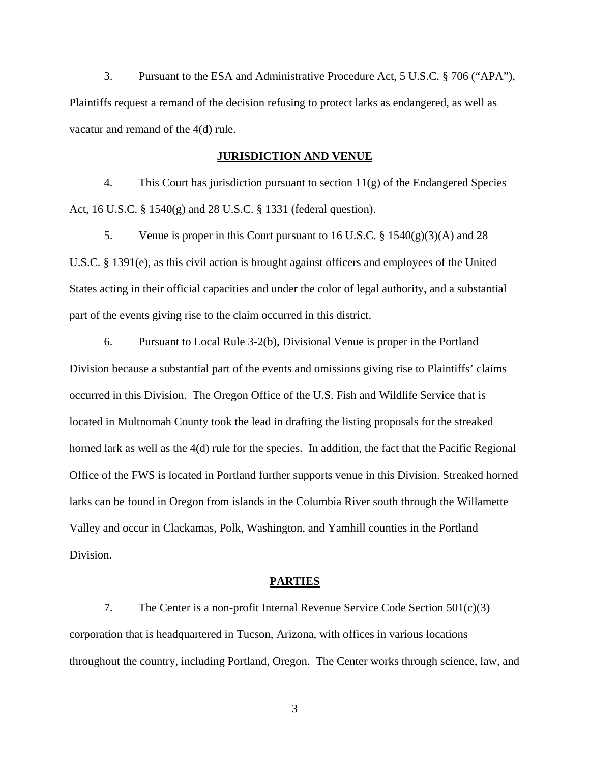3. Pursuant to the ESA and Administrative Procedure Act, 5 U.S.C. § 706 ("APA"), Plaintiffs request a remand of the decision refusing to protect larks as endangered, as well as vacatur and remand of the 4(d) rule.

### **JURISDICTION AND VENUE**

4. This Court has jurisdiction pursuant to section 11(g) of the Endangered Species Act, 16 U.S.C. § 1540(g) and 28 U.S.C. § 1331 (federal question).

5. Venue is proper in this Court pursuant to 16 U.S.C. § 1540(g)(3)(A) and 28 U.S.C. § 1391(e), as this civil action is brought against officers and employees of the United States acting in their official capacities and under the color of legal authority, and a substantial part of the events giving rise to the claim occurred in this district.

6. Pursuant to Local Rule 3-2(b), Divisional Venue is proper in the Portland Division because a substantial part of the events and omissions giving rise to Plaintiffs' claims occurred in this Division. The Oregon Office of the U.S. Fish and Wildlife Service that is located in Multnomah County took the lead in drafting the listing proposals for the streaked horned lark as well as the 4(d) rule for the species. In addition, the fact that the Pacific Regional Office of the FWS is located in Portland further supports venue in this Division. Streaked horned larks can be found in Oregon from islands in the Columbia River south through the Willamette Valley and occur in Clackamas, Polk, Washington, and Yamhill counties in the Portland Division.

## **PARTIES**

7. The Center is a non-profit Internal Revenue Service Code Section 501(c)(3) corporation that is headquartered in Tucson, Arizona, with offices in various locations throughout the country, including Portland, Oregon. The Center works through science, law, and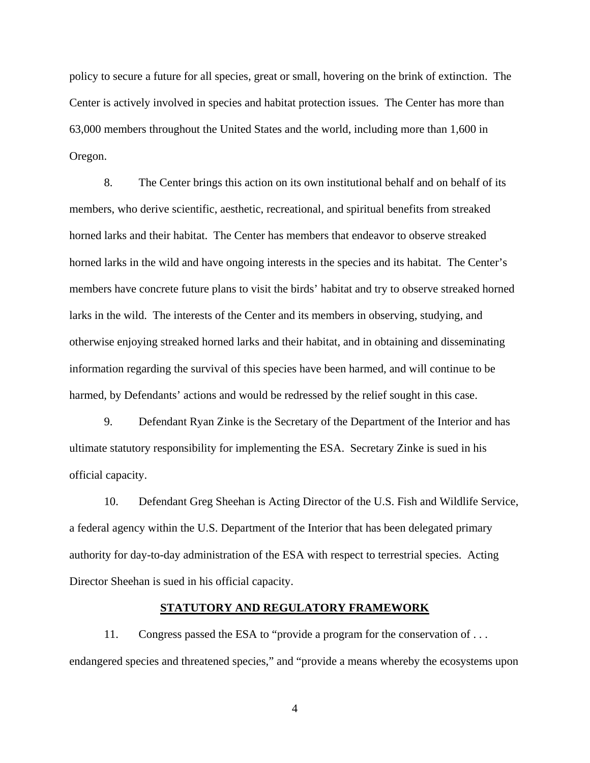policy to secure a future for all species, great or small, hovering on the brink of extinction. The Center is actively involved in species and habitat protection issues. The Center has more than 63,000 members throughout the United States and the world, including more than 1,600 in Oregon.

8. The Center brings this action on its own institutional behalf and on behalf of its members, who derive scientific, aesthetic, recreational, and spiritual benefits from streaked horned larks and their habitat. The Center has members that endeavor to observe streaked horned larks in the wild and have ongoing interests in the species and its habitat. The Center's members have concrete future plans to visit the birds' habitat and try to observe streaked horned larks in the wild. The interests of the Center and its members in observing, studying, and otherwise enjoying streaked horned larks and their habitat, and in obtaining and disseminating information regarding the survival of this species have been harmed, and will continue to be harmed, by Defendants' actions and would be redressed by the relief sought in this case.

9. Defendant Ryan Zinke is the Secretary of the Department of the Interior and has ultimate statutory responsibility for implementing the ESA. Secretary Zinke is sued in his official capacity.

10. Defendant Greg Sheehan is Acting Director of the U.S. Fish and Wildlife Service, a federal agency within the U.S. Department of the Interior that has been delegated primary authority for day-to-day administration of the ESA with respect to terrestrial species. Acting Director Sheehan is sued in his official capacity.

## **STATUTORY AND REGULATORY FRAMEWORK**

11. Congress passed the ESA to "provide a program for the conservation of . . . endangered species and threatened species," and "provide a means whereby the ecosystems upon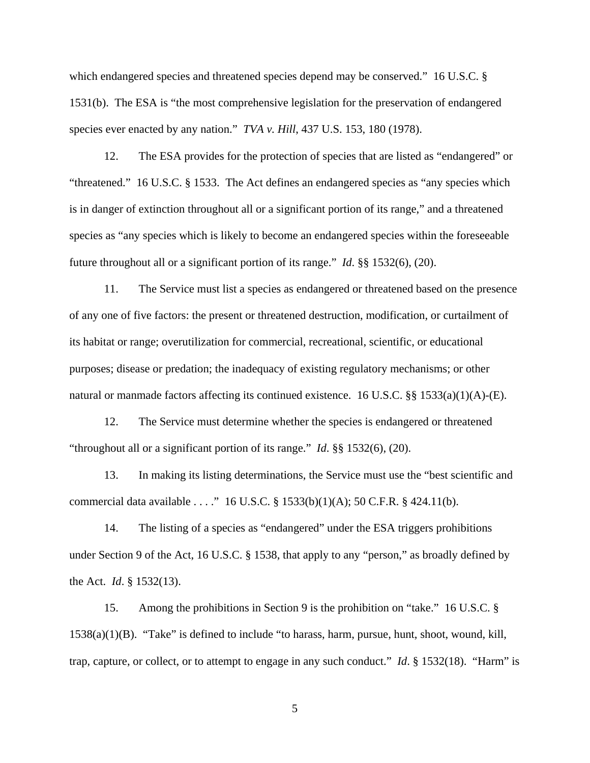which endangered species and threatened species depend may be conserved." 16 U.S.C. § 1531(b). The ESA is "the most comprehensive legislation for the preservation of endangered species ever enacted by any nation." *TVA v. Hill*, 437 U.S. 153, 180 (1978).

12. The ESA provides for the protection of species that are listed as "endangered" or "threatened." 16 U.S.C. § 1533. The Act defines an endangered species as "any species which is in danger of extinction throughout all or a significant portion of its range," and a threatened species as "any species which is likely to become an endangered species within the foreseeable future throughout all or a significant portion of its range." *Id*. §§ 1532(6), (20).

11. The Service must list a species as endangered or threatened based on the presence of any one of five factors: the present or threatened destruction, modification, or curtailment of its habitat or range; overutilization for commercial, recreational, scientific, or educational purposes; disease or predation; the inadequacy of existing regulatory mechanisms; or other natural or manmade factors affecting its continued existence. 16 U.S.C. §§ 1533(a)(1)(A)-(E).

12. The Service must determine whether the species is endangered or threatened "throughout all or a significant portion of its range." *Id*. §§ 1532(6), (20).

13. In making its listing determinations, the Service must use the "best scientific and commercial data available . . . ." 16 U.S.C. § 1533(b)(1)(A); 50 C.F.R. § 424.11(b).

14. The listing of a species as "endangered" under the ESA triggers prohibitions under Section 9 of the Act, 16 U.S.C. § 1538, that apply to any "person," as broadly defined by the Act. *Id*. § 1532(13).

15. Among the prohibitions in Section 9 is the prohibition on "take." 16 U.S.C. § 1538(a)(1)(B). "Take" is defined to include "to harass, harm, pursue, hunt, shoot, wound, kill, trap, capture, or collect, or to attempt to engage in any such conduct." *Id*. § 1532(18). "Harm" is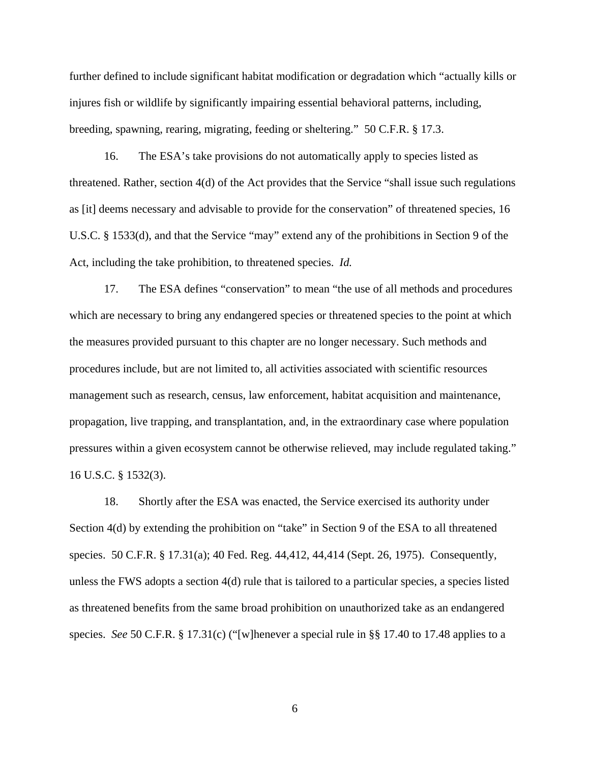further defined to include significant habitat modification or degradation which "actually kills or injures fish or wildlife by significantly impairing essential behavioral patterns, including, breeding, spawning, rearing, migrating, feeding or sheltering." 50 C.F.R. § 17.3.

16. The ESA's take provisions do not automatically apply to species listed as threatened. Rather, section 4(d) of the Act provides that the Service "shall issue such regulations as [it] deems necessary and advisable to provide for the conservation" of threatened species, 16 U.S.C. § 1533(d), and that the Service "may" extend any of the prohibitions in Section 9 of the Act, including the take prohibition, to threatened species. *Id.* 

17. The ESA defines "conservation" to mean "the use of all methods and procedures which are necessary to bring any endangered species or threatened species to the point at which the measures provided pursuant to this chapter are no longer necessary. Such methods and procedures include, but are not limited to, all activities associated with scientific resources management such as research, census, law enforcement, habitat acquisition and maintenance, propagation, live trapping, and transplantation, and, in the extraordinary case where population pressures within a given ecosystem cannot be otherwise relieved, may include regulated taking." 16 U.S.C. § 1532(3).

18. Shortly after the ESA was enacted, the Service exercised its authority under Section 4(d) by extending the prohibition on "take" in Section 9 of the ESA to all threatened species. 50 C.F.R. § 17.31(a); 40 Fed. Reg. 44,412, 44,414 (Sept. 26, 1975). Consequently, unless the FWS adopts a section 4(d) rule that is tailored to a particular species, a species listed as threatened benefits from the same broad prohibition on unauthorized take as an endangered species. *See* 50 C.F.R. § 17.31(c) ("[w]henever a special rule in §§ 17.40 to 17.48 applies to a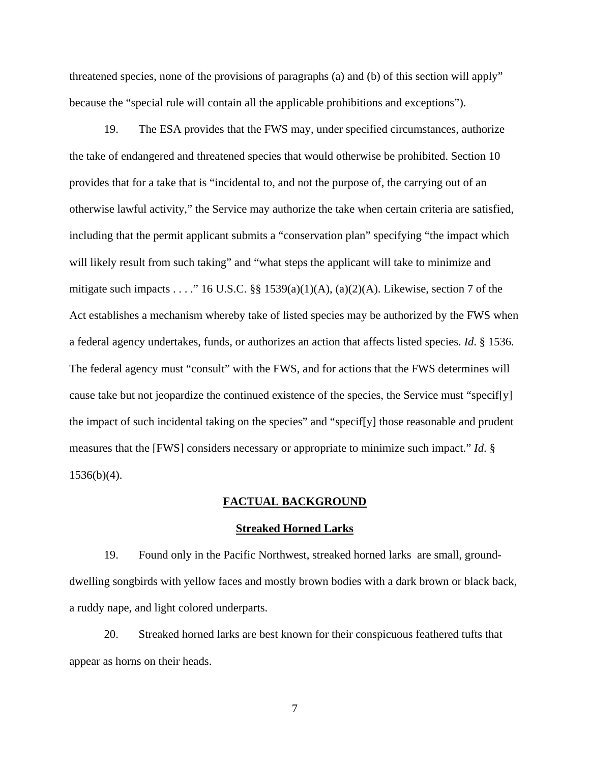threatened species, none of the provisions of paragraphs (a) and (b) of this section will apply" because the "special rule will contain all the applicable prohibitions and exceptions").

19. The ESA provides that the FWS may, under specified circumstances, authorize the take of endangered and threatened species that would otherwise be prohibited. Section 10 provides that for a take that is "incidental to, and not the purpose of, the carrying out of an otherwise lawful activity," the Service may authorize the take when certain criteria are satisfied, including that the permit applicant submits a "conservation plan" specifying "the impact which will likely result from such taking" and "what steps the applicant will take to minimize and mitigate such impacts . . . ." 16 U.S.C. §§ 1539(a)(1)(A), (a)(2)(A). Likewise, section 7 of the Act establishes a mechanism whereby take of listed species may be authorized by the FWS when a federal agency undertakes, funds, or authorizes an action that affects listed species. *Id*. § 1536. The federal agency must "consult" with the FWS, and for actions that the FWS determines will cause take but not jeopardize the continued existence of the species, the Service must "specif[y] the impact of such incidental taking on the species" and "specif[y] those reasonable and prudent measures that the [FWS] considers necessary or appropriate to minimize such impact." *Id*. §  $1536(b)(4)$ .

#### **FACTUAL BACKGROUND**

#### **Streaked Horned Larks**

19. Found only in the Pacific Northwest, streaked horned larks are small, grounddwelling songbirds with yellow faces and mostly brown bodies with a dark brown or black back, a ruddy nape, and light colored underparts.

20. Streaked horned larks are best known for their conspicuous feathered tufts that appear as horns on their heads.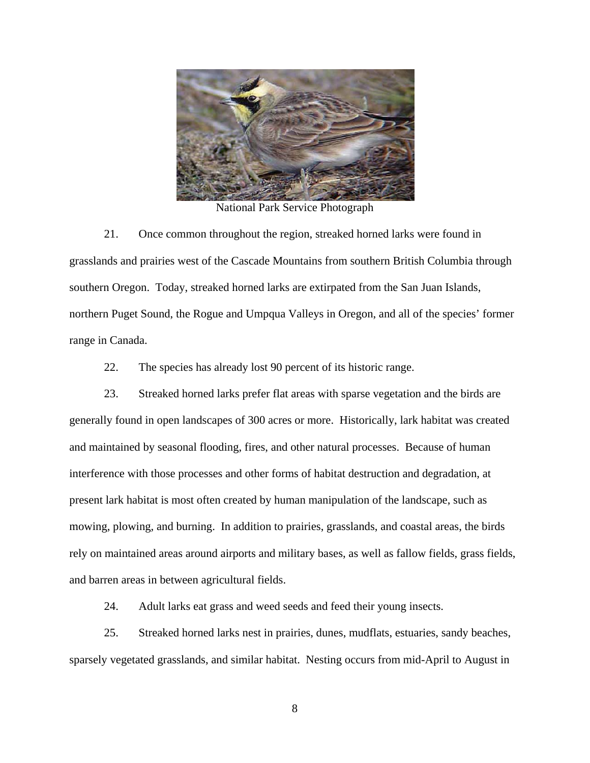

National Park Service Photograph

21. Once common throughout the region, streaked horned larks were found in grasslands and prairies west of the Cascade Mountains from southern British Columbia through southern Oregon. Today, streaked horned larks are extirpated from the San Juan Islands, northern Puget Sound, the Rogue and Umpqua Valleys in Oregon, and all of the species' former range in Canada.

22. The species has already lost 90 percent of its historic range.

23. Streaked horned larks prefer flat areas with sparse vegetation and the birds are generally found in open landscapes of 300 acres or more. Historically, lark habitat was created and maintained by seasonal flooding, fires, and other natural processes. Because of human interference with those processes and other forms of habitat destruction and degradation, at present lark habitat is most often created by human manipulation of the landscape, such as mowing, plowing, and burning. In addition to prairies, grasslands, and coastal areas, the birds rely on maintained areas around airports and military bases, as well as fallow fields, grass fields, and barren areas in between agricultural fields.

24. Adult larks eat grass and weed seeds and feed their young insects.

25. Streaked horned larks nest in prairies, dunes, mudflats, estuaries, sandy beaches, sparsely vegetated grasslands, and similar habitat. Nesting occurs from mid-April to August in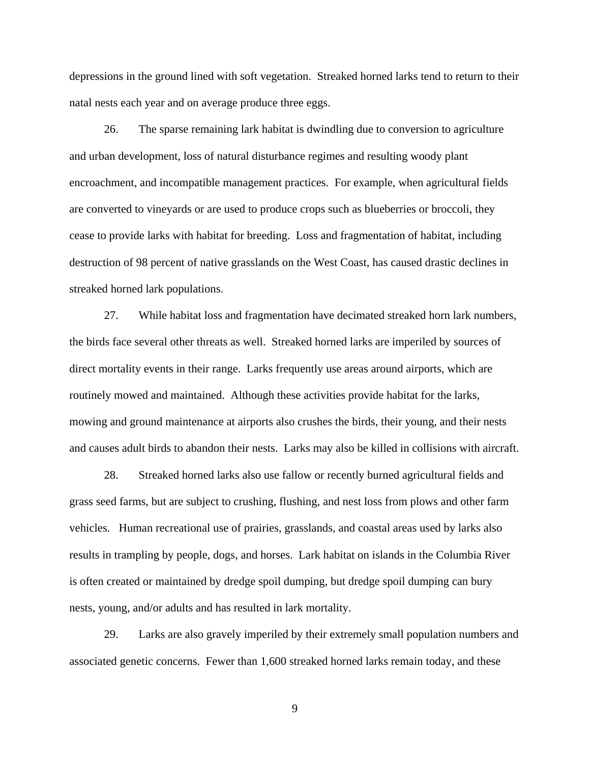depressions in the ground lined with soft vegetation. Streaked horned larks tend to return to their natal nests each year and on average produce three eggs.

26. The sparse remaining lark habitat is dwindling due to conversion to agriculture and urban development, loss of natural disturbance regimes and resulting woody plant encroachment, and incompatible management practices. For example, when agricultural fields are converted to vineyards or are used to produce crops such as blueberries or broccoli, they cease to provide larks with habitat for breeding. Loss and fragmentation of habitat, including destruction of 98 percent of native grasslands on the West Coast, has caused drastic declines in streaked horned lark populations.

27. While habitat loss and fragmentation have decimated streaked horn lark numbers, the birds face several other threats as well. Streaked horned larks are imperiled by sources of direct mortality events in their range. Larks frequently use areas around airports, which are routinely mowed and maintained. Although these activities provide habitat for the larks, mowing and ground maintenance at airports also crushes the birds, their young, and their nests and causes adult birds to abandon their nests. Larks may also be killed in collisions with aircraft.

28. Streaked horned larks also use fallow or recently burned agricultural fields and grass seed farms, but are subject to crushing, flushing, and nest loss from plows and other farm vehicles. Human recreational use of prairies, grasslands, and coastal areas used by larks also results in trampling by people, dogs, and horses. Lark habitat on islands in the Columbia River is often created or maintained by dredge spoil dumping, but dredge spoil dumping can bury nests, young, and/or adults and has resulted in lark mortality.

29. Larks are also gravely imperiled by their extremely small population numbers and associated genetic concerns. Fewer than 1,600 streaked horned larks remain today, and these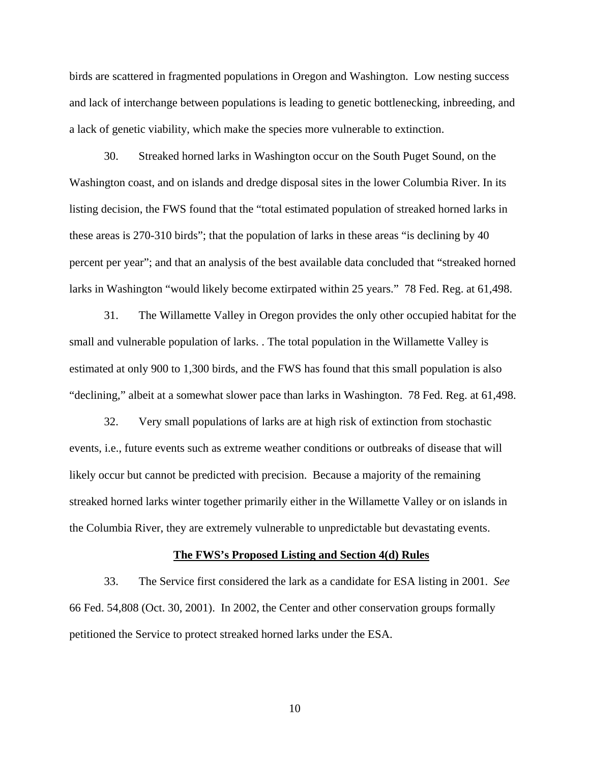birds are scattered in fragmented populations in Oregon and Washington. Low nesting success and lack of interchange between populations is leading to genetic bottlenecking, inbreeding, and a lack of genetic viability, which make the species more vulnerable to extinction.

30. Streaked horned larks in Washington occur on the South Puget Sound, on the Washington coast, and on islands and dredge disposal sites in the lower Columbia River. In its listing decision, the FWS found that the "total estimated population of streaked horned larks in these areas is 270-310 birds"; that the population of larks in these areas "is declining by 40 percent per year"; and that an analysis of the best available data concluded that "streaked horned larks in Washington "would likely become extirpated within 25 years." 78 Fed. Reg. at 61,498.

31. The Willamette Valley in Oregon provides the only other occupied habitat for the small and vulnerable population of larks. . The total population in the Willamette Valley is estimated at only 900 to 1,300 birds, and the FWS has found that this small population is also "declining," albeit at a somewhat slower pace than larks in Washington. 78 Fed. Reg. at 61,498.

32. Very small populations of larks are at high risk of extinction from stochastic events, i.e., future events such as extreme weather conditions or outbreaks of disease that will likely occur but cannot be predicted with precision. Because a majority of the remaining streaked horned larks winter together primarily either in the Willamette Valley or on islands in the Columbia River, they are extremely vulnerable to unpredictable but devastating events.

#### **The FWS's Proposed Listing and Section 4(d) Rules**

33. The Service first considered the lark as a candidate for ESA listing in 2001. *See* 66 Fed. 54,808 (Oct. 30, 2001). In 2002, the Center and other conservation groups formally petitioned the Service to protect streaked horned larks under the ESA.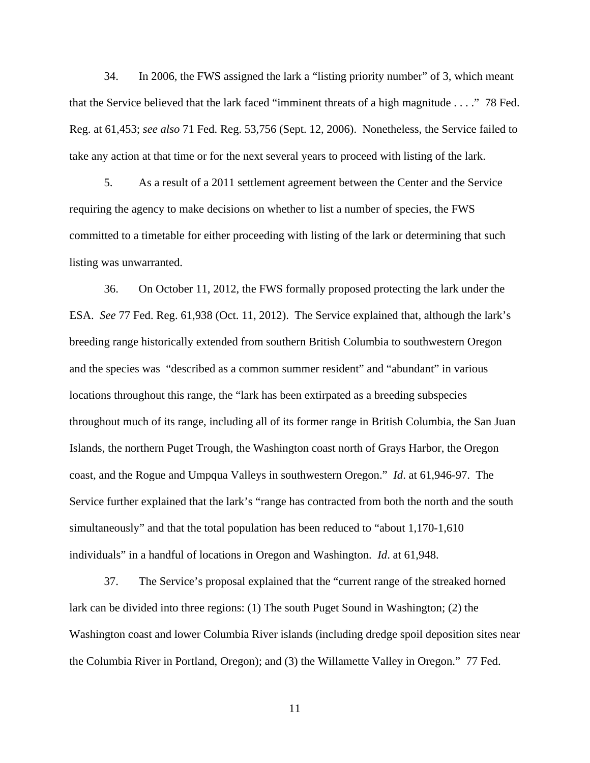34. In 2006, the FWS assigned the lark a "listing priority number" of 3, which meant that the Service believed that the lark faced "imminent threats of a high magnitude . . . ." 78 Fed. Reg. at 61,453; *see also* 71 Fed. Reg. 53,756 (Sept. 12, 2006). Nonetheless, the Service failed to take any action at that time or for the next several years to proceed with listing of the lark.

5. As a result of a 2011 settlement agreement between the Center and the Service requiring the agency to make decisions on whether to list a number of species, the FWS committed to a timetable for either proceeding with listing of the lark or determining that such listing was unwarranted.

36. On October 11, 2012, the FWS formally proposed protecting the lark under the ESA. *See* 77 Fed. Reg. 61,938 (Oct. 11, 2012). The Service explained that, although the lark's breeding range historically extended from southern British Columbia to southwestern Oregon and the species was "described as a common summer resident" and "abundant" in various locations throughout this range, the "lark has been extirpated as a breeding subspecies throughout much of its range, including all of its former range in British Columbia, the San Juan Islands, the northern Puget Trough, the Washington coast north of Grays Harbor, the Oregon coast, and the Rogue and Umpqua Valleys in southwestern Oregon." *Id*. at 61,946-97. The Service further explained that the lark's "range has contracted from both the north and the south simultaneously" and that the total population has been reduced to "about 1,170-1,610 individuals" in a handful of locations in Oregon and Washington. *Id*. at 61,948.

37. The Service's proposal explained that the "current range of the streaked horned lark can be divided into three regions: (1) The south Puget Sound in Washington; (2) the Washington coast and lower Columbia River islands (including dredge spoil deposition sites near the Columbia River in Portland, Oregon); and (3) the Willamette Valley in Oregon." 77 Fed.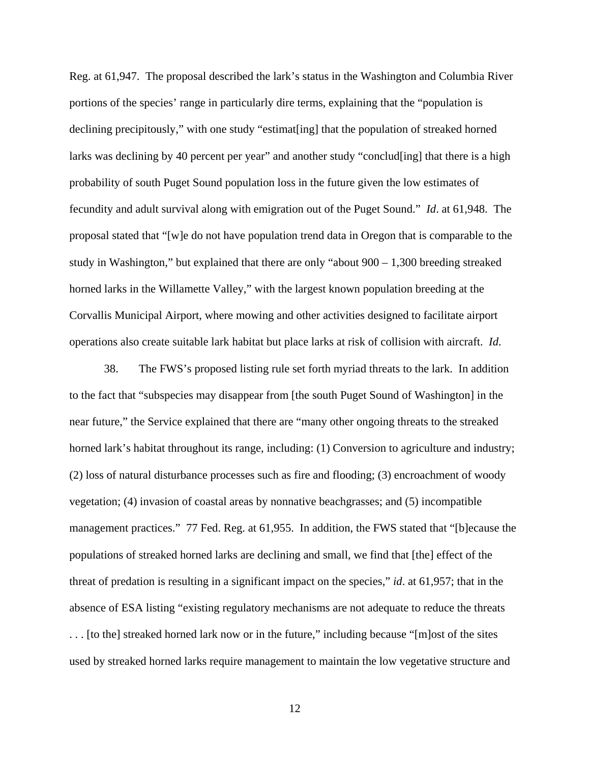Reg. at 61,947. The proposal described the lark's status in the Washington and Columbia River portions of the species' range in particularly dire terms, explaining that the "population is declining precipitously," with one study "estimat[ing] that the population of streaked horned larks was declining by 40 percent per year" and another study "conclud[ing] that there is a high probability of south Puget Sound population loss in the future given the low estimates of fecundity and adult survival along with emigration out of the Puget Sound." *Id*. at 61,948. The proposal stated that "[w]e do not have population trend data in Oregon that is comparable to the study in Washington," but explained that there are only "about 900 – 1,300 breeding streaked horned larks in the Willamette Valley," with the largest known population breeding at the Corvallis Municipal Airport, where mowing and other activities designed to facilitate airport operations also create suitable lark habitat but place larks at risk of collision with aircraft. *Id*.

38. The FWS's proposed listing rule set forth myriad threats to the lark. In addition to the fact that "subspecies may disappear from [the south Puget Sound of Washington] in the near future," the Service explained that there are "many other ongoing threats to the streaked horned lark's habitat throughout its range, including: (1) Conversion to agriculture and industry; (2) loss of natural disturbance processes such as fire and flooding; (3) encroachment of woody vegetation; (4) invasion of coastal areas by nonnative beachgrasses; and (5) incompatible management practices." 77 Fed. Reg. at 61,955. In addition, the FWS stated that "[b]ecause the populations of streaked horned larks are declining and small, we find that [the] effect of the threat of predation is resulting in a significant impact on the species," *id*. at 61,957; that in the absence of ESA listing "existing regulatory mechanisms are not adequate to reduce the threats . . . [to the] streaked horned lark now or in the future," including because "[m]ost of the sites used by streaked horned larks require management to maintain the low vegetative structure and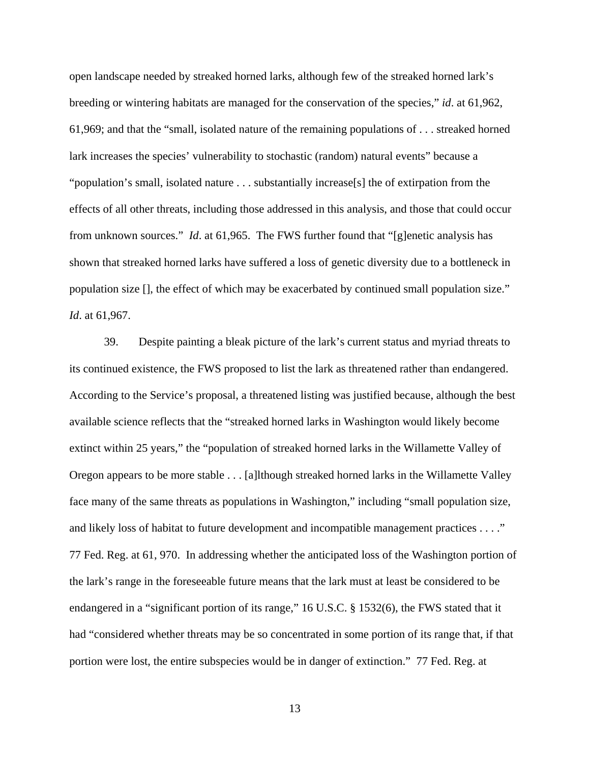open landscape needed by streaked horned larks, although few of the streaked horned lark's breeding or wintering habitats are managed for the conservation of the species," *id*. at 61,962, 61,969; and that the "small, isolated nature of the remaining populations of . . . streaked horned lark increases the species' vulnerability to stochastic (random) natural events" because a "population's small, isolated nature . . . substantially increase[s] the of extirpation from the effects of all other threats, including those addressed in this analysis, and those that could occur from unknown sources." *Id*. at 61,965. The FWS further found that "[g]enetic analysis has shown that streaked horned larks have suffered a loss of genetic diversity due to a bottleneck in population size [], the effect of which may be exacerbated by continued small population size." *Id*. at 61,967.

 39. Despite painting a bleak picture of the lark's current status and myriad threats to its continued existence, the FWS proposed to list the lark as threatened rather than endangered. According to the Service's proposal, a threatened listing was justified because, although the best available science reflects that the "streaked horned larks in Washington would likely become extinct within 25 years," the "population of streaked horned larks in the Willamette Valley of Oregon appears to be more stable . . . [a]lthough streaked horned larks in the Willamette Valley face many of the same threats as populations in Washington," including "small population size, and likely loss of habitat to future development and incompatible management practices . . . ." 77 Fed. Reg. at 61, 970. In addressing whether the anticipated loss of the Washington portion of the lark's range in the foreseeable future means that the lark must at least be considered to be endangered in a "significant portion of its range," 16 U.S.C. § 1532(6), the FWS stated that it had "considered whether threats may be so concentrated in some portion of its range that, if that portion were lost, the entire subspecies would be in danger of extinction." 77 Fed. Reg. at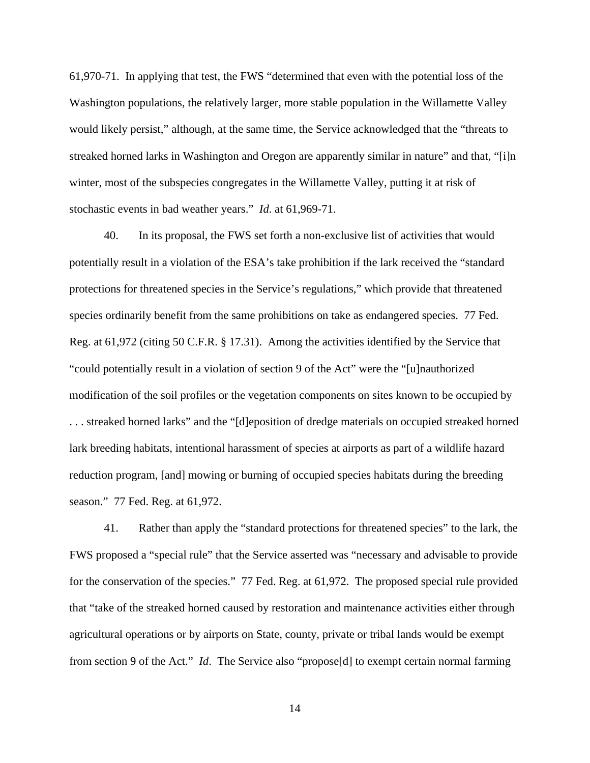61,970-71. In applying that test, the FWS "determined that even with the potential loss of the Washington populations, the relatively larger, more stable population in the Willamette Valley would likely persist," although, at the same time, the Service acknowledged that the "threats to streaked horned larks in Washington and Oregon are apparently similar in nature" and that, "[i]n winter, most of the subspecies congregates in the Willamette Valley, putting it at risk of stochastic events in bad weather years." *Id*. at 61,969-71.

 40. In its proposal, the FWS set forth a non-exclusive list of activities that would potentially result in a violation of the ESA's take prohibition if the lark received the "standard protections for threatened species in the Service's regulations," which provide that threatened species ordinarily benefit from the same prohibitions on take as endangered species. 77 Fed. Reg. at 61,972 (citing 50 C.F.R. § 17.31). Among the activities identified by the Service that "could potentially result in a violation of section 9 of the Act" were the "[u]nauthorized modification of the soil profiles or the vegetation components on sites known to be occupied by . . . streaked horned larks" and the "[d]eposition of dredge materials on occupied streaked horned lark breeding habitats, intentional harassment of species at airports as part of a wildlife hazard reduction program, [and] mowing or burning of occupied species habitats during the breeding season." 77 Fed. Reg. at 61,972.

 41. Rather than apply the "standard protections for threatened species" to the lark, the FWS proposed a "special rule" that the Service asserted was "necessary and advisable to provide for the conservation of the species." 77 Fed. Reg. at 61,972. The proposed special rule provided that "take of the streaked horned caused by restoration and maintenance activities either through agricultural operations or by airports on State, county, private or tribal lands would be exempt from section 9 of the Act." *Id*. The Service also "propose[d] to exempt certain normal farming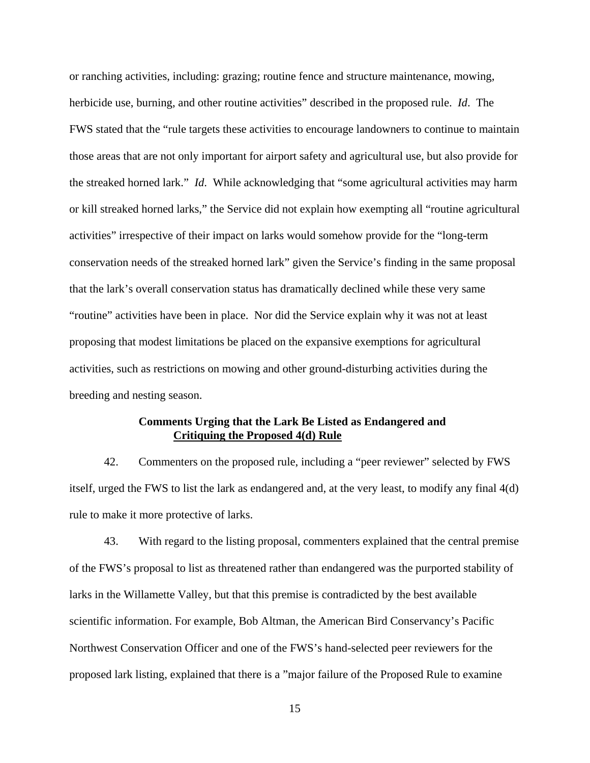or ranching activities, including: grazing; routine fence and structure maintenance, mowing, herbicide use, burning, and other routine activities" described in the proposed rule. *Id*. The FWS stated that the "rule targets these activities to encourage landowners to continue to maintain those areas that are not only important for airport safety and agricultural use, but also provide for the streaked horned lark." *Id*. While acknowledging that "some agricultural activities may harm or kill streaked horned larks," the Service did not explain how exempting all "routine agricultural activities" irrespective of their impact on larks would somehow provide for the "long-term conservation needs of the streaked horned lark" given the Service's finding in the same proposal that the lark's overall conservation status has dramatically declined while these very same "routine" activities have been in place. Nor did the Service explain why it was not at least proposing that modest limitations be placed on the expansive exemptions for agricultural activities, such as restrictions on mowing and other ground-disturbing activities during the breeding and nesting season.

## **Comments Urging that the Lark Be Listed as Endangered and Critiquing the Proposed 4(d) Rule**

42. Commenters on the proposed rule, including a "peer reviewer" selected by FWS itself, urged the FWS to list the lark as endangered and, at the very least, to modify any final 4(d) rule to make it more protective of larks.

43. With regard to the listing proposal, commenters explained that the central premise of the FWS's proposal to list as threatened rather than endangered was the purported stability of larks in the Willamette Valley, but that this premise is contradicted by the best available scientific information. For example, Bob Altman, the American Bird Conservancy's Pacific Northwest Conservation Officer and one of the FWS's hand-selected peer reviewers for the proposed lark listing, explained that there is a "major failure of the Proposed Rule to examine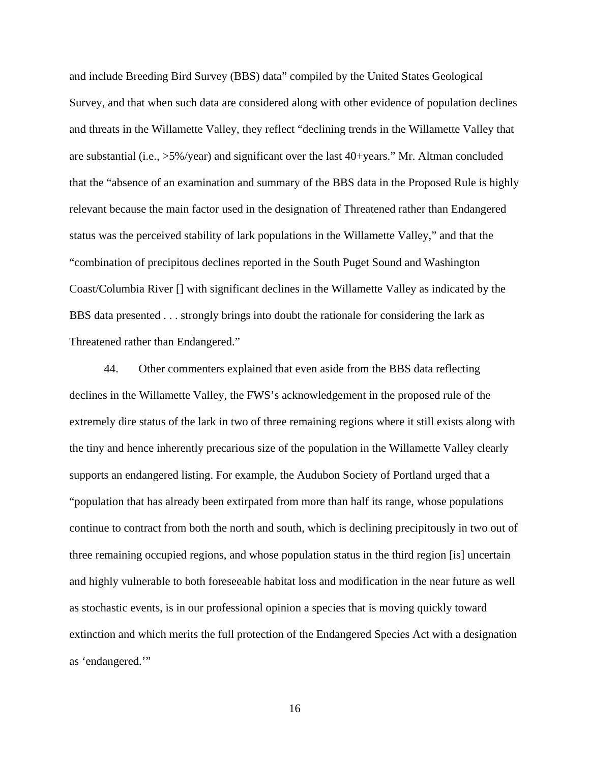and include Breeding Bird Survey (BBS) data" compiled by the United States Geological Survey, and that when such data are considered along with other evidence of population declines and threats in the Willamette Valley, they reflect "declining trends in the Willamette Valley that are substantial (i.e., >5%/year) and significant over the last 40+years." Mr. Altman concluded that the "absence of an examination and summary of the BBS data in the Proposed Rule is highly relevant because the main factor used in the designation of Threatened rather than Endangered status was the perceived stability of lark populations in the Willamette Valley," and that the "combination of precipitous declines reported in the South Puget Sound and Washington Coast/Columbia River [] with significant declines in the Willamette Valley as indicated by the BBS data presented . . . strongly brings into doubt the rationale for considering the lark as Threatened rather than Endangered."

44. Other commenters explained that even aside from the BBS data reflecting declines in the Willamette Valley, the FWS's acknowledgement in the proposed rule of the extremely dire status of the lark in two of three remaining regions where it still exists along with the tiny and hence inherently precarious size of the population in the Willamette Valley clearly supports an endangered listing. For example, the Audubon Society of Portland urged that a "population that has already been extirpated from more than half its range, whose populations continue to contract from both the north and south, which is declining precipitously in two out of three remaining occupied regions, and whose population status in the third region [is] uncertain and highly vulnerable to both foreseeable habitat loss and modification in the near future as well as stochastic events, is in our professional opinion a species that is moving quickly toward extinction and which merits the full protection of the Endangered Species Act with a designation as 'endangered.'"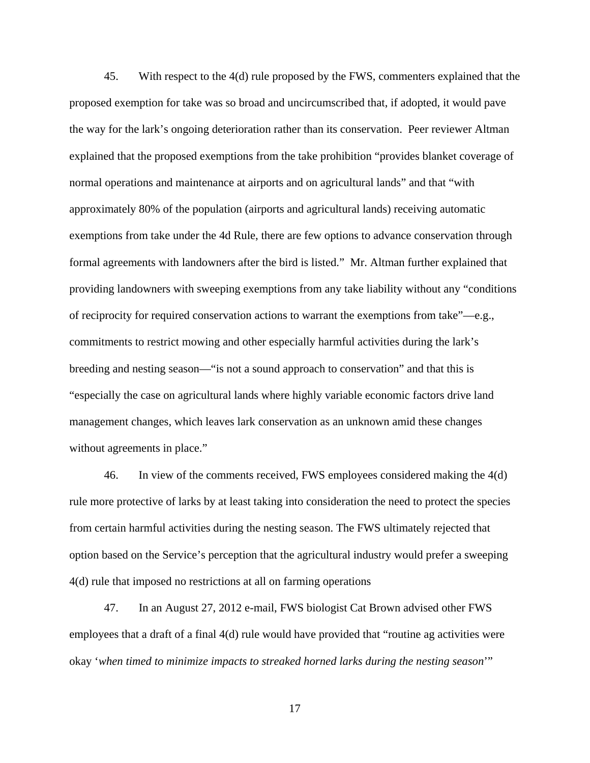45. With respect to the 4(d) rule proposed by the FWS, commenters explained that the proposed exemption for take was so broad and uncircumscribed that, if adopted, it would pave the way for the lark's ongoing deterioration rather than its conservation. Peer reviewer Altman explained that the proposed exemptions from the take prohibition "provides blanket coverage of normal operations and maintenance at airports and on agricultural lands" and that "with approximately 80% of the population (airports and agricultural lands) receiving automatic exemptions from take under the 4d Rule, there are few options to advance conservation through formal agreements with landowners after the bird is listed." Mr. Altman further explained that providing landowners with sweeping exemptions from any take liability without any "conditions of reciprocity for required conservation actions to warrant the exemptions from take"—e.g., commitments to restrict mowing and other especially harmful activities during the lark's breeding and nesting season—"is not a sound approach to conservation" and that this is "especially the case on agricultural lands where highly variable economic factors drive land management changes, which leaves lark conservation as an unknown amid these changes without agreements in place."

 46. In view of the comments received, FWS employees considered making the 4(d) rule more protective of larks by at least taking into consideration the need to protect the species from certain harmful activities during the nesting season. The FWS ultimately rejected that option based on the Service's perception that the agricultural industry would prefer a sweeping 4(d) rule that imposed no restrictions at all on farming operations

 47. In an August 27, 2012 e-mail, FWS biologist Cat Brown advised other FWS employees that a draft of a final 4(d) rule would have provided that "routine ag activities were okay '*when timed to minimize impacts to streaked horned larks during the nesting season*'"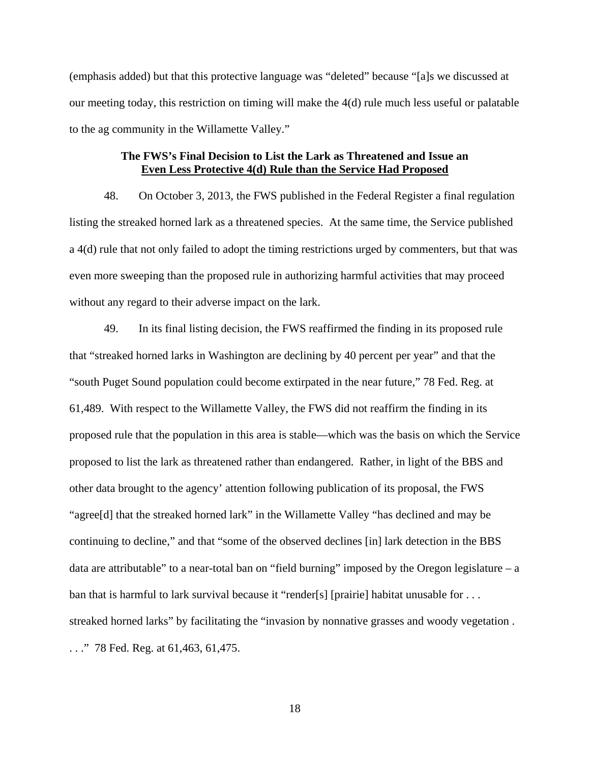(emphasis added) but that this protective language was "deleted" because "[a]s we discussed at our meeting today, this restriction on timing will make the 4(d) rule much less useful or palatable to the ag community in the Willamette Valley."

# **The FWS's Final Decision to List the Lark as Threatened and Issue an Even Less Protective 4(d) Rule than the Service Had Proposed**

48. On October 3, 2013, the FWS published in the Federal Register a final regulation listing the streaked horned lark as a threatened species. At the same time, the Service published a 4(d) rule that not only failed to adopt the timing restrictions urged by commenters, but that was even more sweeping than the proposed rule in authorizing harmful activities that may proceed without any regard to their adverse impact on the lark.

49. In its final listing decision, the FWS reaffirmed the finding in its proposed rule that "streaked horned larks in Washington are declining by 40 percent per year" and that the "south Puget Sound population could become extirpated in the near future," 78 Fed. Reg. at 61,489. With respect to the Willamette Valley, the FWS did not reaffirm the finding in its proposed rule that the population in this area is stable—which was the basis on which the Service proposed to list the lark as threatened rather than endangered. Rather, in light of the BBS and other data brought to the agency' attention following publication of its proposal, the FWS "agree[d] that the streaked horned lark" in the Willamette Valley "has declined and may be continuing to decline," and that "some of the observed declines [in] lark detection in the BBS data are attributable" to a near-total ban on "field burning" imposed by the Oregon legislature  $-$  a ban that is harmful to lark survival because it "render[s] [prairie] habitat unusable for ... streaked horned larks" by facilitating the "invasion by nonnative grasses and woody vegetation . . . ." 78 Fed. Reg. at 61,463, 61,475.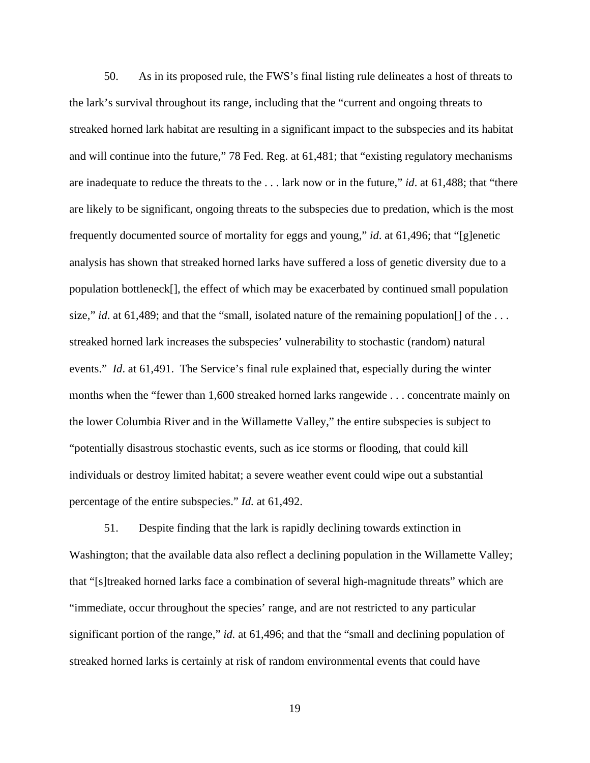50. As in its proposed rule, the FWS's final listing rule delineates a host of threats to the lark's survival throughout its range, including that the "current and ongoing threats to streaked horned lark habitat are resulting in a significant impact to the subspecies and its habitat and will continue into the future," 78 Fed. Reg. at 61,481; that "existing regulatory mechanisms are inadequate to reduce the threats to the . . . lark now or in the future," *id*. at 61,488; that "there are likely to be significant, ongoing threats to the subspecies due to predation, which is the most frequently documented source of mortality for eggs and young," *id*. at 61,496; that "[g]enetic analysis has shown that streaked horned larks have suffered a loss of genetic diversity due to a population bottleneck[], the effect of which may be exacerbated by continued small population size," *id*. at 61,489; and that the "small, isolated nature of the remaining population<sup>[]</sup> of the ... streaked horned lark increases the subspecies' vulnerability to stochastic (random) natural events." *Id*. at 61,491. The Service's final rule explained that, especially during the winter months when the "fewer than 1,600 streaked horned larks rangewide . . . concentrate mainly on the lower Columbia River and in the Willamette Valley," the entire subspecies is subject to "potentially disastrous stochastic events, such as ice storms or flooding, that could kill individuals or destroy limited habitat; a severe weather event could wipe out a substantial percentage of the entire subspecies." *Id.* at 61,492.

 51. Despite finding that the lark is rapidly declining towards extinction in Washington; that the available data also reflect a declining population in the Willamette Valley; that "[s]treaked horned larks face a combination of several high-magnitude threats" which are "immediate, occur throughout the species' range, and are not restricted to any particular significant portion of the range," *id.* at 61,496; and that the "small and declining population of streaked horned larks is certainly at risk of random environmental events that could have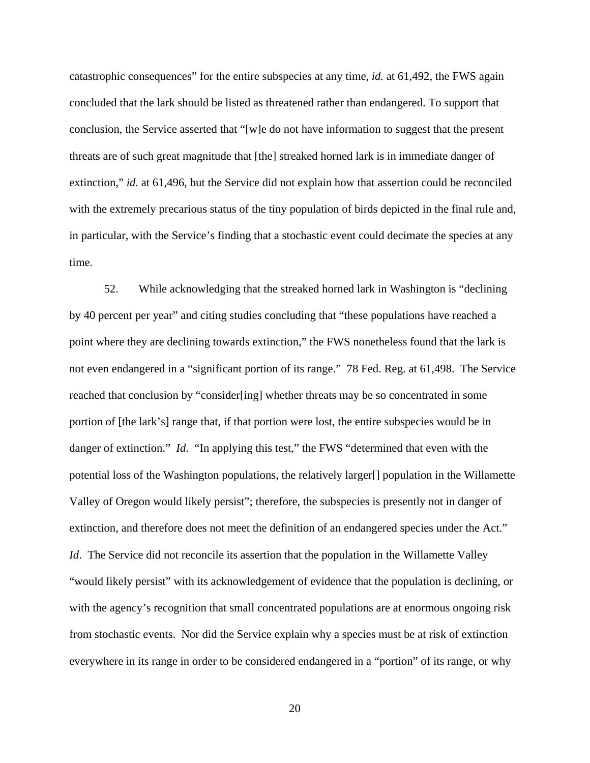catastrophic consequences" for the entire subspecies at any time, *id.* at 61,492, the FWS again concluded that the lark should be listed as threatened rather than endangered. To support that conclusion, the Service asserted that "[w]e do not have information to suggest that the present threats are of such great magnitude that [the] streaked horned lark is in immediate danger of extinction," *id.* at 61,496, but the Service did not explain how that assertion could be reconciled with the extremely precarious status of the tiny population of birds depicted in the final rule and, in particular, with the Service's finding that a stochastic event could decimate the species at any time.

 52. While acknowledging that the streaked horned lark in Washington is "declining by 40 percent per year" and citing studies concluding that "these populations have reached a point where they are declining towards extinction," the FWS nonetheless found that the lark is not even endangered in a "significant portion of its range." 78 Fed. Reg. at 61,498. The Service reached that conclusion by "consider[ing] whether threats may be so concentrated in some portion of [the lark's] range that, if that portion were lost, the entire subspecies would be in danger of extinction." *Id.* "In applying this test," the FWS "determined that even with the potential loss of the Washington populations, the relatively larger[] population in the Willamette Valley of Oregon would likely persist"; therefore, the subspecies is presently not in danger of extinction, and therefore does not meet the definition of an endangered species under the Act." *Id.* The Service did not reconcile its assertion that the population in the Willamette Valley "would likely persist" with its acknowledgement of evidence that the population is declining, or with the agency's recognition that small concentrated populations are at enormous ongoing risk from stochastic events. Nor did the Service explain why a species must be at risk of extinction everywhere in its range in order to be considered endangered in a "portion" of its range, or why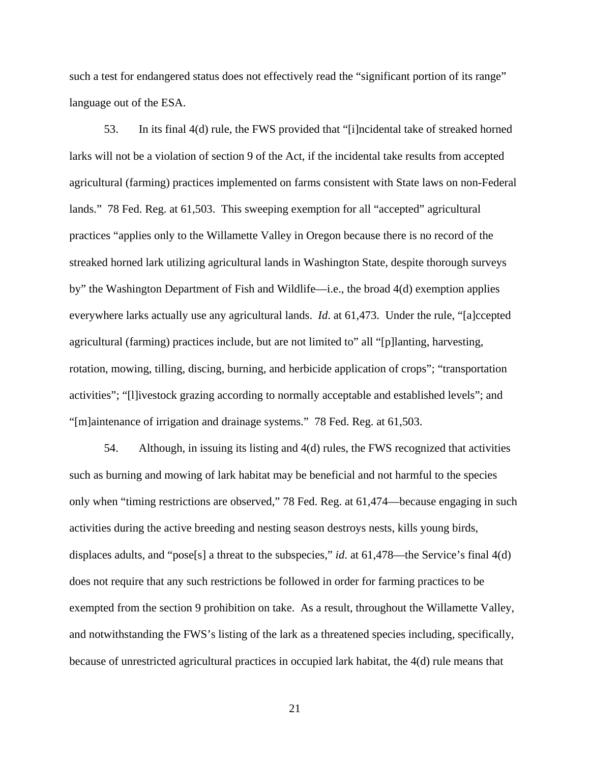such a test for endangered status does not effectively read the "significant portion of its range" language out of the ESA.

 53. In its final 4(d) rule, the FWS provided that "[i]ncidental take of streaked horned larks will not be a violation of section 9 of the Act, if the incidental take results from accepted agricultural (farming) practices implemented on farms consistent with State laws on non-Federal lands." 78 Fed. Reg. at 61,503. This sweeping exemption for all "accepted" agricultural practices "applies only to the Willamette Valley in Oregon because there is no record of the streaked horned lark utilizing agricultural lands in Washington State, despite thorough surveys by" the Washington Department of Fish and Wildlife—i.e., the broad 4(d) exemption applies everywhere larks actually use any agricultural lands. *Id*. at 61,473. Under the rule, "[a]ccepted agricultural (farming) practices include, but are not limited to" all "[p]lanting, harvesting, rotation, mowing, tilling, discing, burning, and herbicide application of crops"; "transportation activities"; "[l]ivestock grazing according to normally acceptable and established levels"; and "[m]aintenance of irrigation and drainage systems." 78 Fed. Reg. at 61,503.

 54. Although, in issuing its listing and 4(d) rules, the FWS recognized that activities such as burning and mowing of lark habitat may be beneficial and not harmful to the species only when "timing restrictions are observed," 78 Fed. Reg. at 61,474—because engaging in such activities during the active breeding and nesting season destroys nests, kills young birds, displaces adults, and "pose<sup>[s]</sup> a threat to the subspecies," *id*. at 61,478—the Service's final 4(d) does not require that any such restrictions be followed in order for farming practices to be exempted from the section 9 prohibition on take. As a result, throughout the Willamette Valley, and notwithstanding the FWS's listing of the lark as a threatened species including, specifically, because of unrestricted agricultural practices in occupied lark habitat, the 4(d) rule means that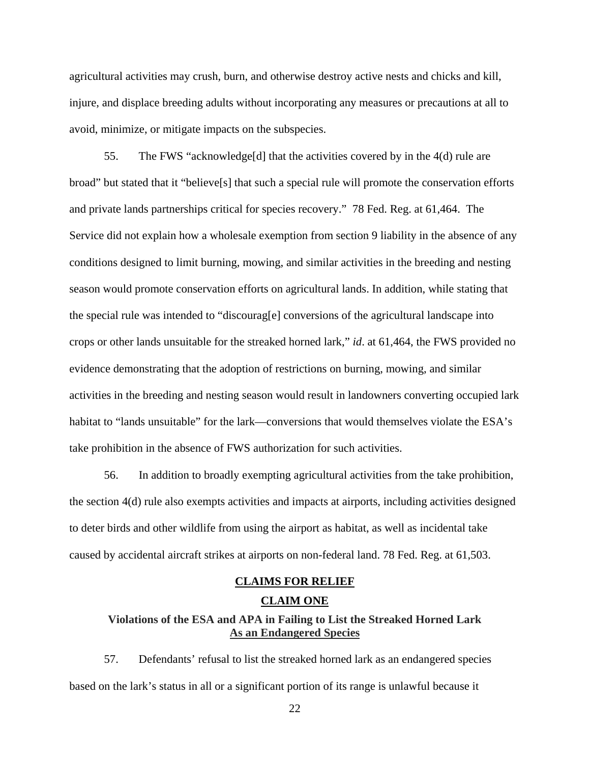agricultural activities may crush, burn, and otherwise destroy active nests and chicks and kill, injure, and displace breeding adults without incorporating any measures or precautions at all to avoid, minimize, or mitigate impacts on the subspecies.

 55. The FWS "acknowledge[d] that the activities covered by in the 4(d) rule are broad" but stated that it "believe[s] that such a special rule will promote the conservation efforts and private lands partnerships critical for species recovery." 78 Fed. Reg. at 61,464. The Service did not explain how a wholesale exemption from section 9 liability in the absence of any conditions designed to limit burning, mowing, and similar activities in the breeding and nesting season would promote conservation efforts on agricultural lands. In addition, while stating that the special rule was intended to "discourag[e] conversions of the agricultural landscape into crops or other lands unsuitable for the streaked horned lark," *id*. at 61,464, the FWS provided no evidence demonstrating that the adoption of restrictions on burning, mowing, and similar activities in the breeding and nesting season would result in landowners converting occupied lark habitat to "lands unsuitable" for the lark—conversions that would themselves violate the ESA's take prohibition in the absence of FWS authorization for such activities.

56. In addition to broadly exempting agricultural activities from the take prohibition, the section 4(d) rule also exempts activities and impacts at airports, including activities designed to deter birds and other wildlife from using the airport as habitat, as well as incidental take caused by accidental aircraft strikes at airports on non-federal land. 78 Fed. Reg. at 61,503.

# **CLAIMS FOR RELIEF CLAIM ONE**

# **Violations of the ESA and APA in Failing to List the Streaked Horned Lark As an Endangered Species**

57. Defendants' refusal to list the streaked horned lark as an endangered species based on the lark's status in all or a significant portion of its range is unlawful because it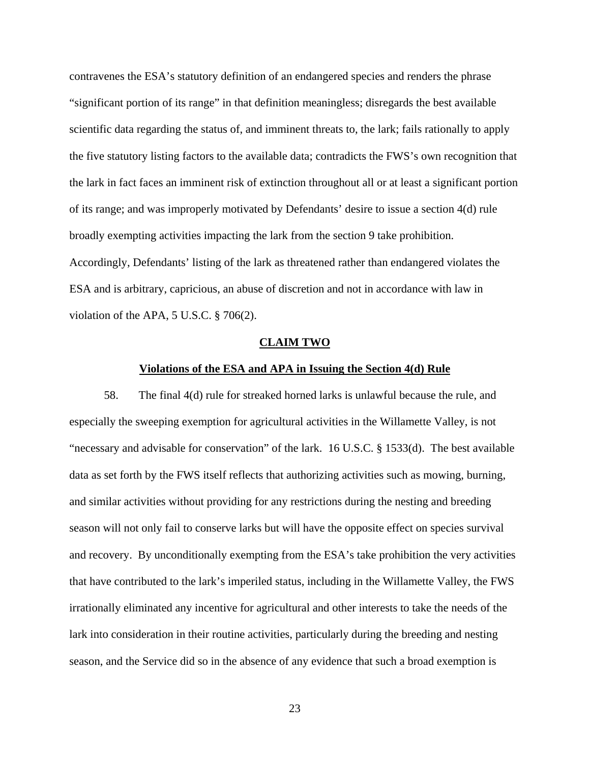contravenes the ESA's statutory definition of an endangered species and renders the phrase "significant portion of its range" in that definition meaningless; disregards the best available scientific data regarding the status of, and imminent threats to, the lark; fails rationally to apply the five statutory listing factors to the available data; contradicts the FWS's own recognition that the lark in fact faces an imminent risk of extinction throughout all or at least a significant portion of its range; and was improperly motivated by Defendants' desire to issue a section 4(d) rule broadly exempting activities impacting the lark from the section 9 take prohibition. Accordingly, Defendants' listing of the lark as threatened rather than endangered violates the ESA and is arbitrary, capricious, an abuse of discretion and not in accordance with law in violation of the APA, 5 U.S.C. § 706(2).

#### **CLAIM TWO**

## **Violations of the ESA and APA in Issuing the Section 4(d) Rule**

58. The final 4(d) rule for streaked horned larks is unlawful because the rule, and especially the sweeping exemption for agricultural activities in the Willamette Valley, is not "necessary and advisable for conservation" of the lark. 16 U.S.C. § 1533(d). The best available data as set forth by the FWS itself reflects that authorizing activities such as mowing, burning, and similar activities without providing for any restrictions during the nesting and breeding season will not only fail to conserve larks but will have the opposite effect on species survival and recovery. By unconditionally exempting from the ESA's take prohibition the very activities that have contributed to the lark's imperiled status, including in the Willamette Valley, the FWS irrationally eliminated any incentive for agricultural and other interests to take the needs of the lark into consideration in their routine activities, particularly during the breeding and nesting season, and the Service did so in the absence of any evidence that such a broad exemption is